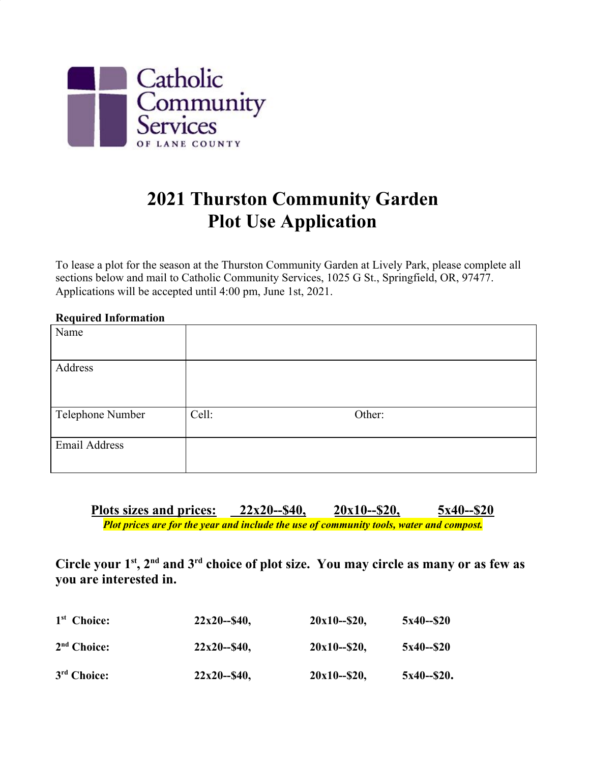

## **2021 Thurston Community Garden Plot Use Application**

To lease a plot for the season at the Thurston Community Garden at Lively Park, please complete all sections below and mail to Catholic Community Services, 1025 G St., Springfield, OR, 97477. Applications will be accepted until 4:00 pm, June 1st, 2021.

| <b>Required Information</b> |       |        |
|-----------------------------|-------|--------|
| Name                        |       |        |
|                             |       |        |
| Address                     |       |        |
|                             |       |        |
|                             |       |        |
| Telephone Number            | Cell: | Other: |
|                             |       |        |
| Email Address               |       |        |
|                             |       |        |
|                             |       |        |

**Plots sizes and prices: 22x20--\$40, 20x10--\$20, 5x40--\$20** *Plot prices are for the year and include the use of community tools, water and compost.*

Circle your  $1<sup>st</sup>$ ,  $2<sup>nd</sup>$  and  $3<sup>rd</sup>$  choice of plot size. You may circle as many or as few as **you are interested in.**

| 1 <sup>st</sup> Choice: | $22x20 - 840$   | $20x10 - 20$   | $5x40 - 20$  |
|-------------------------|-----------------|----------------|--------------|
| $2nd$ Choice:           | $22x20 - 840$   | $20x10 - $20,$ | $5x40 - 20$  |
| 3 <sup>rd</sup> Choice: | $22x20 - 840$ , | $20x10 - $20,$ | $5x40 - 20.$ |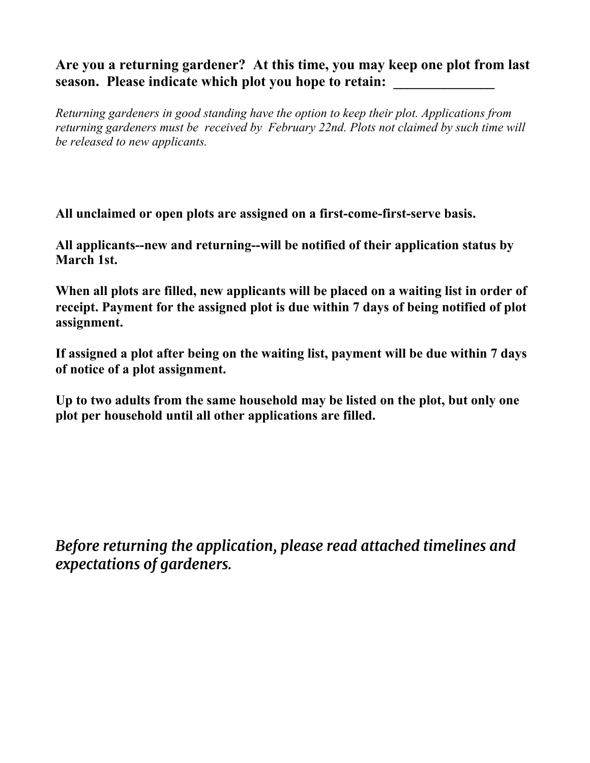## **Are you a returning gardener? At this time, you may keep one plot from last** season. Please indicate which plot you hope to retain:

*Returning gardeners in good standing have the option to keep their plot. Applications from returning gardeners must be received by February 22nd. Plots not claimed by such time will be released to new applicants.*

**All unclaimed or open plots are assigned on a first-come-first-serve basis.**

**All applicants--new and returning--will be notified of their application status by March 1st.**

**When all plots are filled, new applicants will be placed on a waiting list in order of receipt. Payment for the assigned plot is due within 7 days of being notified of plot assignment.**

**If assigned a plot after being on the waiting list, payment will be due within 7 days of notice of a plot assignment.**

**Up to two adults from the same household may be listed on the plot, but only one plot per household until all other applications are filled.**

*Before returning the application, please read attached timelines and expectations of gardeners.*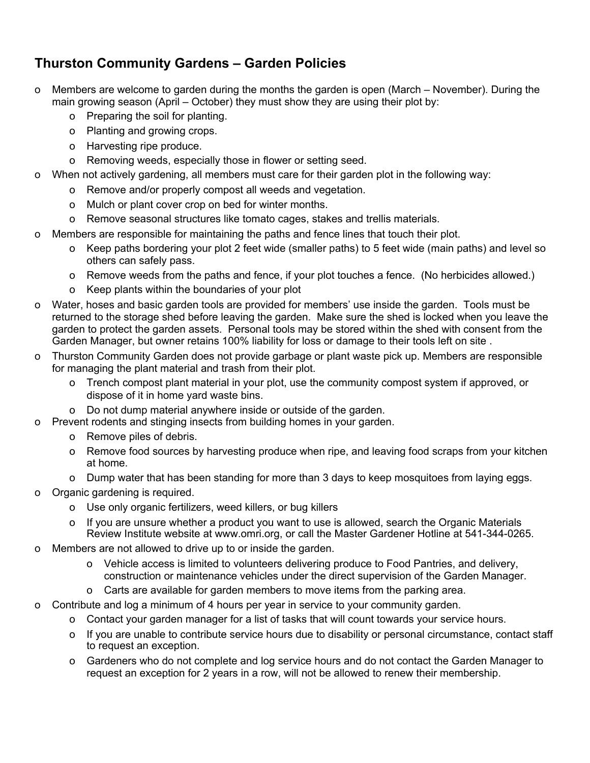## **Thurston Community Gardens – Garden Policies**

- o Members are welcome to garden during the months the garden is open (March November). During the main growing season (April – October) they must show they are using their plot by:
	- o Preparing the soil for planting.
	- o Planting and growing crops.
	- o Harvesting ripe produce.
	- o Removing weeds, especially those in flower or setting seed.
- o When not actively gardening, all members must care for their garden plot in the following way:
	- o Remove and/or properly compost all weeds and vegetation.
	- o Mulch or plant cover crop on bed for winter months.
	- o Remove seasonal structures like tomato cages, stakes and trellis materials.
- o Members are responsible for maintaining the paths and fence lines that touch their plot.
	- o Keep paths bordering your plot 2 feet wide (smaller paths) to 5 feet wide (main paths) and level so others can safely pass.
	- o Remove weeds from the paths and fence, if your plot touches a fence. (No herbicides allowed.)
	- o Keep plants within the boundaries of your plot
- o Water, hoses and basic garden tools are provided for members' use inside the garden. Tools must be returned to the storage shed before leaving the garden. Make sure the shed is locked when you leave the garden to protect the garden assets. Personal tools may be stored within the shed with consent from the Garden Manager, but owner retains 100% liability for loss or damage to their tools left on site .
- o Thurston Community Garden does not provide garbage or plant waste pick up. Members are responsible for managing the plant material and trash from their plot.
	- o Trench compost plant material in your plot, use the community compost system if approved, or dispose of it in home yard waste bins.
	- o Do not dump material anywhere inside or outside of the garden.
- o Prevent rodents and stinging insects from building homes in your garden.
	- o Remove piles of debris.
	- o Remove food sources by harvesting produce when ripe, and leaving food scraps from your kitchen at home.
	- o Dump water that has been standing for more than 3 days to keep mosquitoes from laying eggs.
- o Organic gardening is required.
	- o Use only organic fertilizers, weed killers, or bug killers
	- o If you are unsure whether a product you want to use is allowed, search the Organic Materials Review Institute website at www.omri.org, or call the Master Gardener Hotline at 541-344-0265.
- o Members are not allowed to drive up to or inside the garden.
	- o Vehicle access is limited to volunteers delivering produce to Food Pantries, and delivery, construction or maintenance vehicles under the direct supervision of the Garden Manager.
	- o Carts are available for garden members to move items from the parking area.
- o Contribute and log a minimum of 4 hours per year in service to your community garden.
	- o Contact your garden manager for a list of tasks that will count towards your service hours.
	- o If you are unable to contribute service hours due to disability or personal circumstance, contact staff to request an exception.
	- o Gardeners who do not complete and log service hours and do not contact the Garden Manager to request an exception for 2 years in a row, will not be allowed to renew their membership.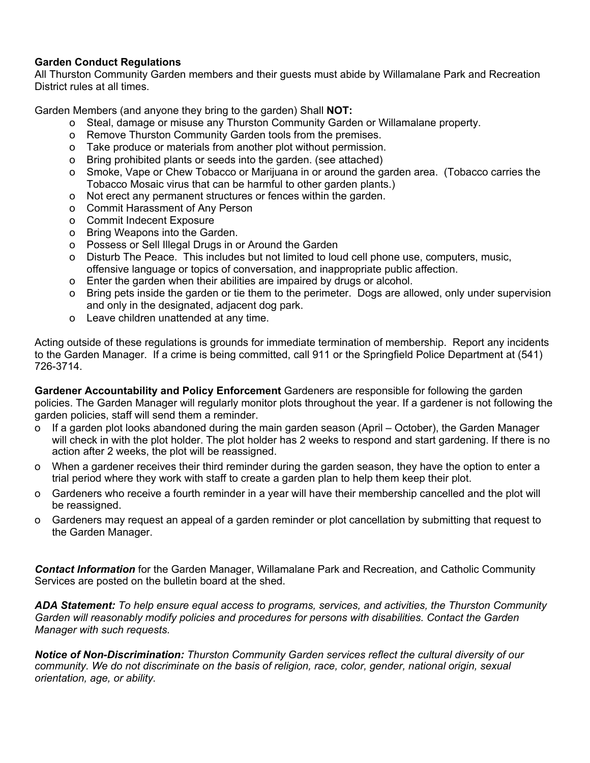## **Garden Conduct Regulations**

All Thurston Community Garden members and their guests must abide by Willamalane Park and Recreation District rules at all times.

Garden Members (and anyone they bring to the garden) Shall **NOT:**

- o Steal, damage or misuse any Thurston Community Garden or Willamalane property.
- o Remove Thurston Community Garden tools from the premises.
- o Take produce or materials from another plot without permission.
- o Bring prohibited plants or seeds into the garden. (see attached)
- o Smoke, Vape or Chew Tobacco or Marijuana in or around the garden area. (Tobacco carries the Tobacco Mosaic virus that can be harmful to other garden plants.)
- o Not erect any permanent structures or fences within the garden.
- o Commit Harassment of Any Person
- o Commit Indecent Exposure
- o Bring Weapons into the Garden.
- o Possess or Sell Illegal Drugs in or Around the Garden
- o Disturb The Peace. This includes but not limited to loud cell phone use, computers, music, offensive language or topics of conversation, and inappropriate public affection.
- o Enter the garden when their abilities are impaired by drugs or alcohol.
- o Bring pets inside the garden or tie them to the perimeter. Dogs are allowed, only under supervision and only in the designated, adjacent dog park.
- o Leave children unattended at any time.

Acting outside of these regulations is grounds for immediate termination of membership. Report any incidents to the Garden Manager. If a crime is being committed, call 911 or the Springfield Police Department at (541) 726-3714.

**Gardener Accountability and Policy Enforcement** Gardeners are responsible for following the garden policies. The Garden Manager will regularly monitor plots throughout the year. If a gardener is not following the garden policies, staff will send them a reminder.

- o If a garden plot looks abandoned during the main garden season (April October), the Garden Manager will check in with the plot holder. The plot holder has 2 weeks to respond and start gardening. If there is no action after 2 weeks, the plot will be reassigned.
- o When a gardener receives their third reminder during the garden season, they have the option to enter a trial period where they work with staff to create a garden plan to help them keep their plot.
- o Gardeners who receive a fourth reminder in a year will have their membership cancelled and the plot will be reassigned.
- o Gardeners may request an appeal of a garden reminder or plot cancellation by submitting that request to the Garden Manager.

*Contact Information* for the Garden Manager, Willamalane Park and Recreation, and Catholic Community Services are posted on the bulletin board at the shed.

*ADA Statement: To help ensure equal access to programs, services, and activities, the Thurston Community Garden will reasonably modify policies and procedures for persons with disabilities. Contact the Garden Manager with such requests.*

*Notice of Non-Discrimination: Thurston Community Garden services reflect the cultural diversity of our community. We do not discriminate on the basis of religion, race, color, gender, national origin, sexual orientation, age, or ability.*